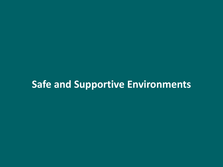# **Safe and Supportive Environments**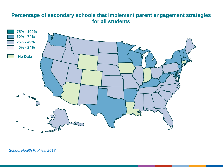### **Percentage of secondary schools that implement parent engagement strategies for all students**

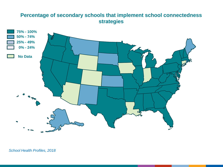# **Percentage of secondary schools that implement school connectedness strategies**

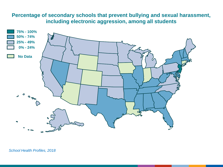## **Percentage of secondary schools that prevent bullying and sexual harassment, including electronic aggression, among all students**

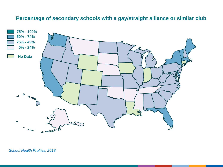#### **Percentage of secondary schools with a gay/straight alliance or similar club**

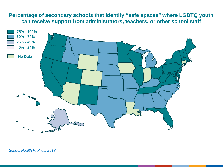## **Percentage of secondary schools that identify "safe spaces" where LGBTQ youth can receive support from administrators, teachers, or other school staff**

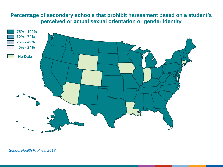## **Percentage of secondary schools that prohibit harassment based on a student's perceived or actual sexual orientation or gender identity**

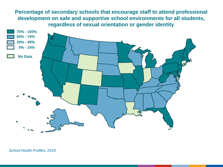**Percentage of secondary schools that encourage staff to attend professional development on safe and supportive school environments for all students, regardless of sexual orientation or gender identity**

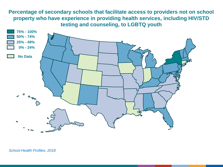**Percentage of secondary schools that facilitate access to providers not on school property who have experience in providing health services, including HIV/STD testing and counseling, to LGBTQ youth**

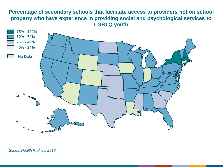## **Percentage of secondary schools that facilitate access to providers not on school property who have experience in providing social and psychological services to LGBTQ youth**